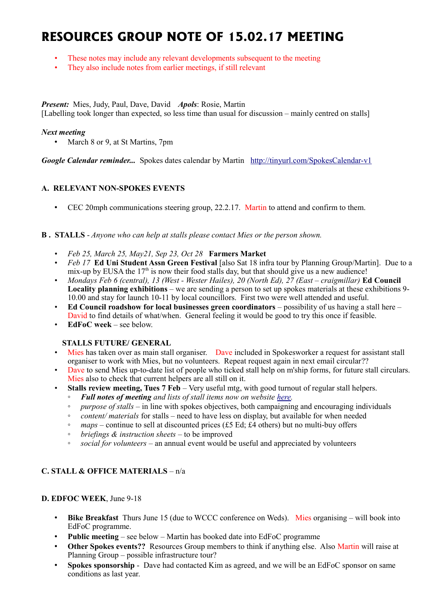# **RESOURCES GROUP NOTE OF 15.02.17 MEETING**

- These notes may include any relevant developments subsequent to the meeting
- They also include notes from earlier meetings, if still relevant

*Present:* Mies, Judy, Paul, Dave, David *Apols*: Rosie, Martin [Labelling took longer than expected, so less time than usual for discussion – mainly centred on stalls]

#### *Next meeting*

• March 8 or 9, at St Martins, 7pm

*Google Calendar reminder...* Spokes dates calendar by Martin <http://tinyurl.com/SpokesCalendar-v1>

#### **A. RELEVANT NON-SPOKES EVENTS**

• CEC 20mph communications steering group, 22.2.17. Martin to attend and confirm to them.

#### **B . STALLS** - *Anyone who can help at stalls please contact Mies or the person shown.*

- *Feb 25, March 25, May21, Sep 23, Oct 28* **Farmers Market**
- *Feb 17* **Ed Uni Student Assn Green Festival** [also Sat 18 infra tour by Planning Group/Martin]. Due to a mix-up by EUSA the  $17<sup>th</sup>$  is now their food stalls day, but that should give us a new audience!
- *Mondays Feb 6 (central), 13 (West Wester Hailes), 20 (North Ed), 27 (East craigmillar)* **Ed Council Locality planning exhibitions** – we are sending a person to set up spokes materials at these exhibitions 9- 10.00 and stay for launch 10-11 by local councillors. First two were well attended and useful.
- **Ed Council roadshow for local businesses green coordinators** possibility of us having a stall here David to find details of what/when. General feeling it would be good to try this once if feasible.
- **EdFoC week** see below.

#### **STALLS FUTURE/ GENERAL**

- Mies has taken over as main stall organiser. Dave included in Spokesworker a request for assistant stall organiser to work with Mies, but no volunteers. Repeat request again in next email circular??
- Dave to send Mies up-to-date list of people who ticked stall help on m'ship forms, for future stall circulars. Mies also to check that current helpers are all still on it.
- **Stalls review meeting, Tues 7 Feb** Very useful mtg, with good turnout of regular stall helpers.
	- *Full notes of meeting and lists of stall items now on website [here.](http://www.spokes.org.uk/documents/internal-documents/spokes-resources-group/)*
	- *purpose of stalls* in line with spokes objectives, both campaigning and encouraging individuals
	- *content/ materials* for stalls need to have less on display, but available for when needed
	- *maps* continue to sell at discounted prices (£5 Ed; £4 others) but no multi-buy offers
	- *briefings & instruction sheets*  to be improved
	- *social for volunteers* an annual event would be useful and appreciated by volunteers

## **C. STALL & OFFICE MATERIALS** – n/a

## **D. EDFOC WEEK**, June 9-18

- **Bike Breakfast** Thurs June 15 (due to WCCC conference on Weds). Mies organising will book into EdFoC programme.
- **Public meeting** see below Martin has booked date into EdFoC programme
- **Other Spokes events??** Resources Group members to think if anything else. Also Martin will raise at Planning Group – possible infrastructure tour?
- **Spokes sponsorship** Dave had contacted Kim as agreed, and we will be an EdFoC sponsor on same conditions as last year.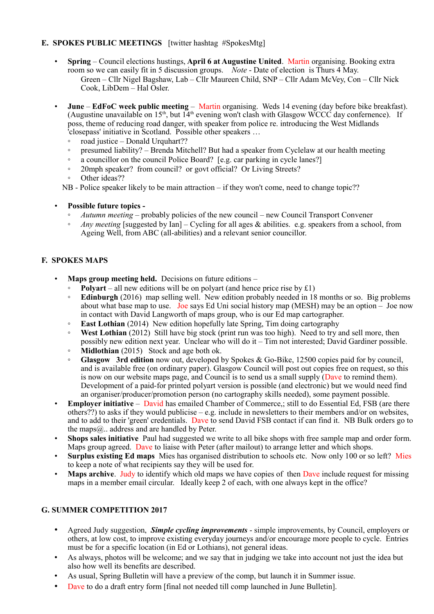## **E. SPOKES PUBLIC MEETINGS** [twitter hashtag #SpokesMtg]

- **Spring** Council elections hustings, **April 6 at Augustine United**. Martin organising. Booking extra room so we can easily fit in 5 discussion groups. *Note* - Date of election is Thurs 4 May. Green – Cllr Nigel Bagshaw, Lab – Cllr Maureen Child, SNP – Cllr Adam McVey, Con – Cllr Nick Cook, LibDem – Hal Osler.
- **June EdFoC week public meeting** Martin organising. Weds 14 evening (day before bike breakfast). (Augustine unavailable on  $15<sup>th</sup>$ , but  $14<sup>th</sup>$  evening won't clash with Glasgow WCCC day conference). If poss, theme of reducing road danger, with speaker from police re. introducing the West Midlands 'closepass' initiative in Scotland. Possible other speakers …
	- road justice Donald Urquhart??
	- presumed liability? Brenda Mitchell? But had a speaker from Cyclelaw at our health meeting
	- a councillor on the council Police Board? [e.g. car parking in cycle lanes?]
	- 20mph speaker? from council? or govt official? Or Living Streets?
	- Other ideas??
	- NB Police speaker likely to be main attraction if they won't come, need to change topic??
- **Possible future topics -**
	- *Autumn meeting* probably policies of the new council new Council Transport Convener
	- *Any meeting* [suggested by Ian] Cycling for all ages & abilities. e.g. speakers from a school, from Ageing Well, from ABC (all-abilities) and a relevant senior councillor.

# **F. SPOKES MAPS**

- **Maps group meeting held.** Decisions on future editions
	- **Polyart** all new editions will be on polyart (and hence price rise by  $£1)$ )
	- **Edinburgh** (2016) map selling well. New edition probably needed in 18 months or so. Big problems about what base map to use. Joe says Ed Uni social history map (MESH) may be an option – Joe now in contact with David Langworth of maps group, who is our Ed map cartographer.
	- **East Lothian** (2014) New edition hopefully late Spring, Tim doing cartography
	- **West Lothian** (2012) Still have big stock (print run was too high). Need to try and sell more, then possibly new edition next year. Unclear who will do it – Tim not interested; David Gardiner possible.
	- **Midlothian** (2015) Stock and age both ok.
	- **Glasgow 3rd edition** now out, developed by Spokes & Go-Bike, 12500 copies paid for by council, and is available free (on ordinary paper). Glasgow Council will post out copies free on request, so this is now on our website maps page, and Council is to send us a small supply (Dave to remind them). Development of a paid-for printed polyart version is possible (and electronic) but we would need find an organiser/producer/promotion person (no cartography skills needed), some payment possible.
- **Employer initiative** David has emailed Chamber of Commerce,; still to do Essential Ed, FSB (are there others??) to asks if they would publicise – e.g. include in newsletters to their members and/or on websites, and to add to their 'green' credentials. Dave to send David FSB contact if can find it. NB Bulk orders go to the maps $@$ .. address and are handled by Peter.
- **Shops sales initiative** Paul had suggested we write to all bike shops with free sample map and order form. Maps group agreed. Dave to liaise with Peter (after mailout) to arrange letter and which shops.
- **Surplus existing Ed maps** Mies has organised distribution to schools etc. Now only 100 or so left? Mies to keep a note of what recipients say they will be used for.
- **Maps archive.** Judy to identify which old maps we have copies of then Dave include request for missing maps in a member email circular. Ideally keep 2 of each, with one always kept in the office?

## **G. SUMMER COMPETITION 2017**

- Agreed Judy suggestion, *Simple cycling improvements* simple improvements, by Council, employers or others, at low cost, to improve existing everyday journeys and/or encourage more people to cycle. Entries must be for a specific location (in Ed or Lothians), not general ideas.
- As always, photos will be welcome; and we say that in judging we take into account not just the idea but also how well its benefits are described.
- As usual, Spring Bulletin will have a preview of the comp, but launch it in Summer issue.
- Dave to do a draft entry form [final not needed till comp launched in June Bulletin].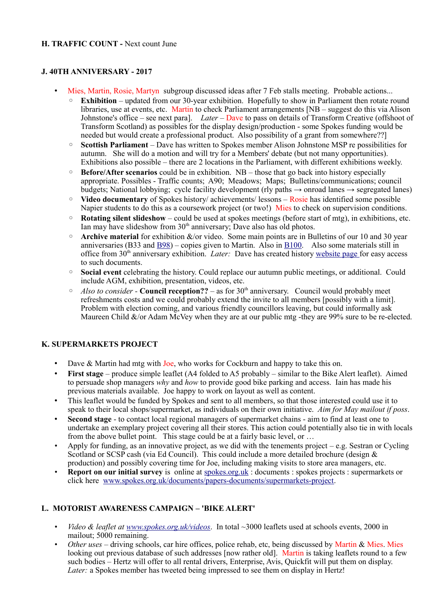## **J. 40TH ANNIVERSARY - 2017**

- Mies, Martin, Rosie, Martyn subgroup discussed ideas after 7 Feb stalls meeting. Probable actions...
	- **Exhibition** updated from our 30-year exhibition. Hopefully to show in Parliament then rotate round libraries, use at events, etc. Martin to check Parliament arrangements [NB – suggest do this via Alison Johnstone's office – see next para]. *Later* – Dave to pass on details of Transform Creative (offshoot of Transform Scotland) as possibles for the display design/production - some Spokes funding would be needed but would create a professional product. Also possibility of a grant from somewhere??]
	- **Scottish Parliament**  Dave has written to Spokes member Alison Johnstone MSP re possibilities for autumn. She will do a motion and will try for a Members' debate (but not many opportunities). Exhibitions also possible – there are 2 locations in the Parliament, with different exhibitions weekly.
	- **Before/After scenarios** could be in exhibition. NB those that go back into history especially appropriate. Possibles - Traffic counts; A90; Meadows; Maps; Bulletins/communications; council budgets; National lobbying; cycle facility development (rly paths  $\rightarrow$  onroad lanes  $\rightarrow$  segregated lanes)
	- **Video documentary** of Spokes history/ achievements/ lessons Rosie has identified some possible Napier students to do this as a coursework project (or two!) Mies to check on supervision conditions.
	- **Rotating silent slideshow** could be used at spokes meetings (before start of mtg), in exhibitions, etc. Ian may have slideshow from  $30<sup>th</sup>$  anniversary; Dave also has old photos.
	- **Archive material** for exhibition &/or video. Some main points are in Bulletins of our 10 and 30 year anniversaries (B33 and [B98\)](http://www.spokes.org.uk/wordpress/downloads/spokesbulletin/Spokes_Bulletin_98.pdf) – copies given to Martin. Also in [B100.](http://www.spokes.org.uk/wordpress/wp-content/uploads/2009/09/B100_fromBarr.pdf) Also some materials still in office from 30<sup>th</sup> anniversary exhibition. *Later:* Dave has created history [website page f](http://www.spokes.org.uk/documents/odds-and-ends-may-be-exciting/spokes-history/)or easy access to such documents.
	- **Social event** celebrating the history. Could replace our autumn public meetings, or additional. Could include AGM, exhibition, presentation, videos, etc.
	- *Also to consider* **Council reception??** as for  $30<sup>th</sup>$  anniversary. Council would probably meet refreshments costs and we could probably extend the invite to all members [possibly with a limit]. Problem with election coming, and various friendly councillors leaving, but could informally ask Maureen Child &/or Adam McVey when they are at our public mtg -they are 99% sure to be re-elected.

#### **K. SUPERMARKETS PROJECT**

- Dave & Martin had mtg with Joe, who works for Cockburn and happy to take this on.
- **First stage** produce simple leaflet (A4 folded to A5 probably similar to the Bike Alert leaflet). Aimed to persuade shop managers *why* and *how* to provide good bike parking and access. Iain has made his previous materials available. Joe happy to work on layout as well as content.
- This leaflet would be funded by Spokes and sent to all members, so that those interested could use it to speak to their local shops/supermarket, as individuals on their own initiative. *Aim for May mailout if poss*.
- **Second stage**  to contact local regional managers of supermarket chains aim to find at least one to undertake an exemplary project covering all their stores. This action could potentially also tie in with locals from the above bullet point. This stage could be at a fairly basic level, or ...
- Apply for funding, as an innovative project, as we did with the tenements project e.g. Sestran or Cycling Scotland or SCSP cash (via Ed Council). This could include a more detailed brochure (design & production) and possibly covering time for Joe, including making visits to store area managers, etc.
- **Report on our initial survey** is online at [spokes.org.uk](http://spokes.org.uk/) : documents : spokes projects : supermarkets or click here [www.spokes.org.uk/documents/papers-documents/supermarkets-project.](http://www.spokes.org.uk/documents/papers-documents/supermarkets-project)

## **L. MOTORIST AWARENESS CAMPAIGN – 'BIKE ALERT'**

- *Video & leaflet at [www.spokes.org.uk/videos](http://www.spokes.org.uk/videos)*. In total ~3000 leaflets used at schools events, 2000 in mailout; 5000 remaining.
- *Other uses* driving schools, car hire offices, police rehab, etc, being discussed by Martin & Mies. Mies looking out previous database of such addresses [now rather old]. Martin is taking leaflets round to a few such bodies – Hertz will offer to all rental drivers, Enterprise, Avis, Quickfit will put them on display. *Later*: a Spokes member has tweeted being impressed to see them on display in Hertz!